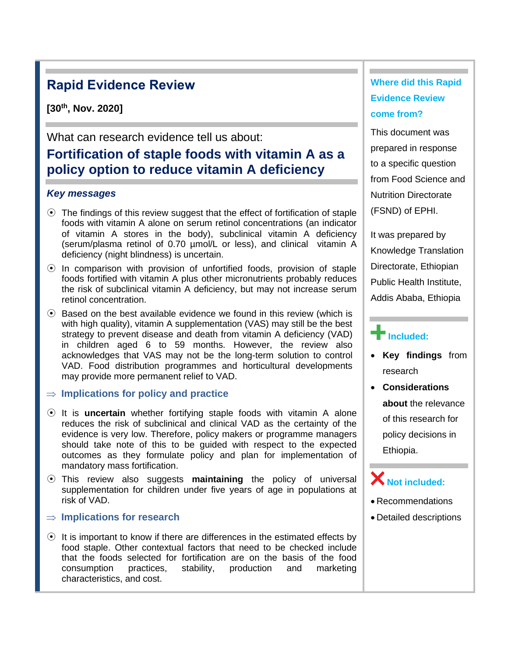# **Rapid Evidence Review**

**[30th, Nov. 2020]**

What can research evidence tell us about:

# **Fortification of staple foods with vitamin A as a policy option to reduce vitamin A deficiency**

#### *Key messages*

- ⦿ The findings of this review suggest that the effect of fortification of staple foods with vitamin A alone on serum retinol concentrations (an indicator of vitamin A stores in the body), subclinical vitamin A deficiency (serum/plasma retinol of 0.70 µmol/L or less), and clinical vitamin A deficiency (night blindness) is uncertain.
- $\odot$  In comparison with provision of unfortified foods, provision of staple foods fortified with vitamin A plus other micronutrients probably reduces the risk of subclinical vitamin A deficiency, but may not increase serum retinol concentration.
- ⦿ Based on the best available evidence we found in this review (which is with high quality), vitamin A supplementation (VAS) may still be the best strategy to prevent disease and death from vitamin A deficiency (VAD) in children aged 6 to 59 months. However, the review also acknowledges that VAS may not be the long-term solution to control VAD. Food distribution programmes and horticultural developments may provide more permanent relief to VAD.

#### **Implications for policy and practice**

- ⦿ It is **uncertain** whether fortifying staple foods with vitamin A alone reduces the risk of subclinical and clinical VAD as the certainty of the evidence is very low. Therefore, policy makers or programme managers should take note of this to be guided with respect to the expected outcomes as they formulate policy and plan for implementation of mandatory mass fortification.
- ⦿ This review also suggests **maintaining** the policy of universal supplementation for children under five years of age in populations at risk of VAD.

#### **Implications for research**

⦿ It is important to know if there are differences in the estimated effects by food staple. Other contextual factors that need to be checked include that the foods selected for fortification are on the basis of the food consumption practices, stability, production and marketing characteristics, and cost.

## **Where did this Rapid Evidence Review come from?**

This document was prepared in response to a specific question from Food Science and Nutrition Directorate (FSND) of EPHI.

It was prepared by Knowledge Translation Directorate, Ethiopian Public Health Institute, Addis Ababa, Ethiopia

# **Included:**

- **Key findings** from research
- **Considerations about** the relevance of this research for policy decisions in Ethiopia.

# **Not included:**

- Recommendations
- Detailed descriptions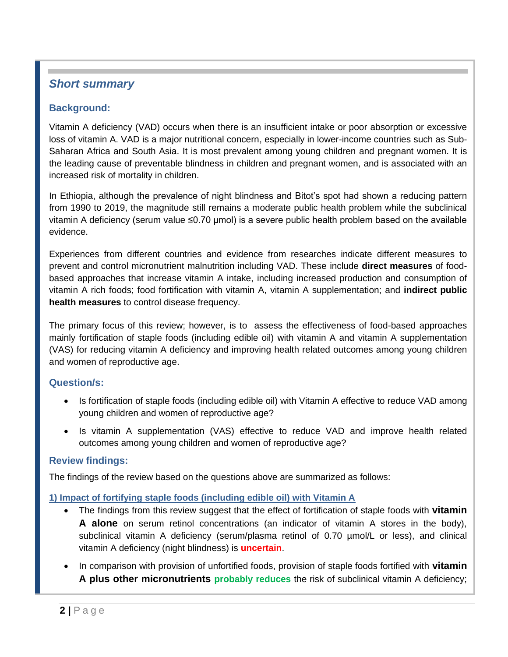## *Short summary*

### **Background:**

Vitamin A deficiency (VAD) occurs when there is an insufficient intake or poor absorption or excessive loss of vitamin A. VAD is a major nutritional concern, especially in lower-income countries such as Sub-Saharan Africa and South Asia. It is most prevalent among young children and pregnant women. It is the leading cause of preventable blindness in children and pregnant women, and is associated with an increased risk of mortality in children.

In Ethiopia, although the prevalence of night blindness and Bitot's spot had shown a reducing pattern from 1990 to 2019, the magnitude still remains a moderate public health problem while the subclinical vitamin A deficiency (serum value ≤0.70 μmol) is a severe public health problem based on the available evidence.

Experiences from different countries and evidence from researches indicate different measures to prevent and control micronutrient malnutrition including VAD. These include **direct measures** of foodbased approaches that increase vitamin A intake, including increased production and consumption of vitamin A rich foods; food fortification with vitamin A, vitamin A supplementation; and **indirect public health measures** to control disease frequency.

The primary focus of this review; however, is to assess the effectiveness of food-based approaches mainly fortification of staple foods (including edible oil) with vitamin A and vitamin A supplementation (VAS) for reducing vitamin A deficiency and improving health related outcomes among young children and women of reproductive age.

### **Question/s:**

- Is fortification of staple foods (including edible oil) with Vitamin A effective to reduce VAD among young children and women of reproductive age?
- Is vitamin A supplementation (VAS) effective to reduce VAD and improve health related outcomes among young children and women of reproductive age?

#### **Review findings:**

The findings of the review based on the questions above are summarized as follows:

#### **1) Impact of fortifying staple foods (including edible oil) with Vitamin A**

- The findings from this review suggest that the effect of fortification of staple foods with **vitamin A alone** on serum retinol concentrations (an indicator of vitamin A stores in the body), subclinical vitamin A deficiency (serum/plasma retinol of 0.70  $\mu$ mol/L or less), and clinical vitamin A deficiency (night blindness) is **uncertain**.
- In comparison with provision of unfortified foods, provision of staple foods fortified with **vitamin A plus other micronutrients probably reduces** the risk of subclinical vitamin A deficiency;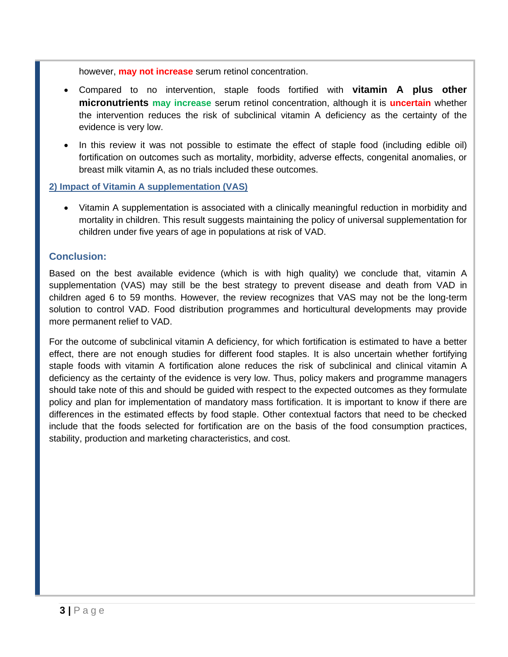however, **may not increase** serum retinol concentration.

- Compared to no intervention, staple foods fortified with **vitamin A plus other micronutrients may increase** serum retinol concentration, although it is **uncertain** whether the intervention reduces the risk of subclinical vitamin A deficiency as the certainty of the evidence is very low.
- In this review it was not possible to estimate the effect of staple food (including edible oil) fortification on outcomes such as mortality, morbidity, adverse effects, congenital anomalies, or breast milk vitamin A, as no trials included these outcomes.

#### **2) Impact of Vitamin A supplementation (VAS)**

• Vitamin A supplementation is associated with a clinically meaningful reduction in morbidity and mortality in children. This result suggests maintaining the policy of universal supplementation for children under five years of age in populations at risk of VAD.

#### **Conclusion:**

Based on the best available evidence (which is with high quality) we conclude that, vitamin A supplementation (VAS) may still be the best strategy to prevent disease and death from VAD in children aged 6 to 59 months. However, the review recognizes that VAS may not be the long-term solution to control VAD. Food distribution programmes and horticultural developments may provide more permanent relief to VAD.

For the outcome of subclinical vitamin A deficiency, for which fortification is estimated to have a better effect, there are not enough studies for different food staples. It is also uncertain whether fortifying staple foods with vitamin A fortification alone reduces the risk of subclinical and clinical vitamin A deficiency as the certainty of the evidence is very low. Thus, policy makers and programme managers should take note of this and should be guided with respect to the expected outcomes as they formulate policy and plan for implementation of mandatory mass fortification. It is important to know if there are differences in the estimated effects by food staple. Other contextual factors that need to be checked include that the foods selected for fortification are on the basis of the food consumption practices, stability, production and marketing characteristics, and cost.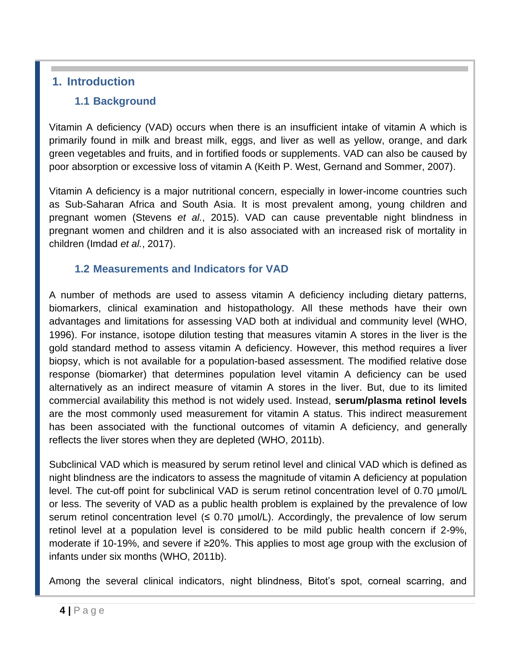## **1. Introduction**

### **1.1 Background**

Vitamin A deficiency (VAD) occurs when there is an insufficient intake of vitamin A which is primarily found in milk and breast milk, eggs, and liver as well as yellow, orange, and dark green vegetables and fruits, and in fortified foods or supplements. VAD can also be caused by poor absorption or excessive loss of vitamin A (Keith P. West, Gernand and Sommer, 2007).

Vitamin A deficiency is a major nutritional concern, especially in lower-income countries such as Sub-Saharan Africa and South Asia. It is most prevalent among, young children and pregnant women (Stevens *et al.*, 2015). VAD can cause preventable night blindness in pregnant women and children and it is also associated with an increased risk of mortality in children (Imdad *et al.*, 2017).

## **1.2 Measurements and Indicators for VAD**

A number of methods are used to assess vitamin A deficiency including dietary patterns, biomarkers, clinical examination and histopathology. All these methods have their own advantages and limitations for assessing VAD both at individual and community level (WHO, 1996). For instance, isotope dilution testing that measures vitamin A stores in the liver is the gold standard method to assess vitamin A deficiency. However, this method requires a liver biopsy, which is not available for a population-based assessment. The modified relative dose response (biomarker) that determines population level vitamin A deficiency can be used alternatively as an indirect measure of vitamin A stores in the liver. But, due to its limited commercial availability this method is not widely used. Instead, **serum/plasma retinol levels** are the most commonly used measurement for vitamin A status. This indirect measurement has been associated with the functional outcomes of vitamin A deficiency, and generally reflects the liver stores when they are depleted (WHO, 2011b).

Subclinical VAD which is measured by serum retinol level and clinical VAD which is defined as night blindness are the indicators to assess the magnitude of vitamin A deficiency at population level. The cut-off point for subclinical VAD is serum retinol concentration level of 0.70 µmol/L or less. The severity of VAD as a public health problem is explained by the prevalence of low serum retinol concentration level  $(5.0.70 \mu \text{mol/L})$ . Accordingly, the prevalence of low serum retinol level at a population level is considered to be mild public health concern if 2-9%, moderate if 10-19%, and severe if ≥20%. This applies to most age group with the exclusion of infants under six months (WHO, 2011b).

Among the several clinical indicators, night blindness, Bitot's spot, corneal scarring, and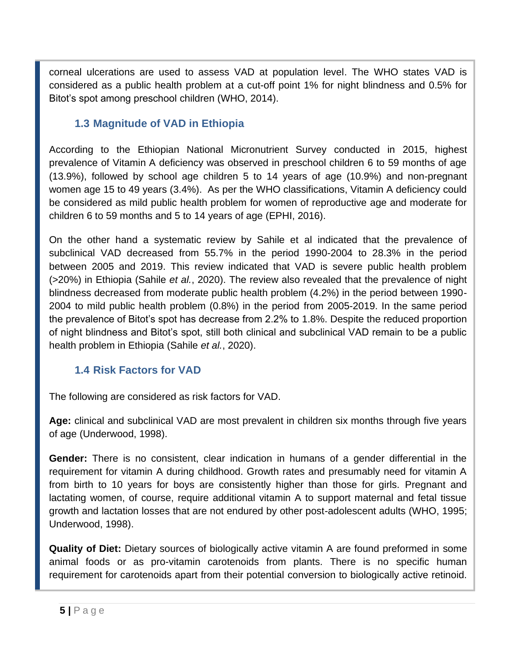corneal ulcerations are used to assess VAD at population level. The WHO states VAD is considered as a public health problem at a cut-off point 1% for night blindness and 0.5% for Bitot's spot among preschool children (WHO, 2014).

### **1.3 Magnitude of VAD in Ethiopia**

According to the Ethiopian National Micronutrient Survey conducted in 2015, highest prevalence of Vitamin A deficiency was observed in preschool children 6 to 59 months of age (13.9%), followed by school age children 5 to 14 years of age (10.9%) and non-pregnant women age 15 to 49 years (3.4%). As per the WHO classifications, Vitamin A deficiency could be considered as mild public health problem for women of reproductive age and moderate for children 6 to 59 months and 5 to 14 years of age (EPHI, 2016).

On the other hand a systematic review by Sahile et al indicated that the prevalence of subclinical VAD decreased from 55.7% in the period 1990-2004 to 28.3% in the period between 2005 and 2019. This review indicated that VAD is severe public health problem (>20%) in Ethiopia (Sahile *et al.*, 2020). The review also revealed that the prevalence of night blindness decreased from moderate public health problem (4.2%) in the period between 1990- 2004 to mild public health problem (0.8%) in the period from 2005-2019. In the same period the prevalence of Bitot's spot has decrease from 2.2% to 1.8%. Despite the reduced proportion of night blindness and Bitot's spot, still both clinical and subclinical VAD remain to be a public health problem in Ethiopia (Sahile *et al.*, 2020).

## **1.4 Risk Factors for VAD**

The following are considered as risk factors for VAD.

**Age:** clinical and subclinical VAD are most prevalent in children six months through five years of age (Underwood, 1998).

**Gender:** There is no consistent, clear indication in humans of a gender differential in the requirement for vitamin A during childhood. Growth rates and presumably need for vitamin A from birth to 10 years for boys are consistently higher than those for girls. Pregnant and lactating women, of course, require additional vitamin A to support maternal and fetal tissue growth and lactation losses that are not endured by other post-adolescent adults (WHO, 1995; Underwood, 1998).

**Quality of Diet:** Dietary sources of biologically active vitamin A are found preformed in some animal foods or as pro-vitamin carotenoids from plants. There is no specific human requirement for carotenoids apart from their potential conversion to biologically active retinoid.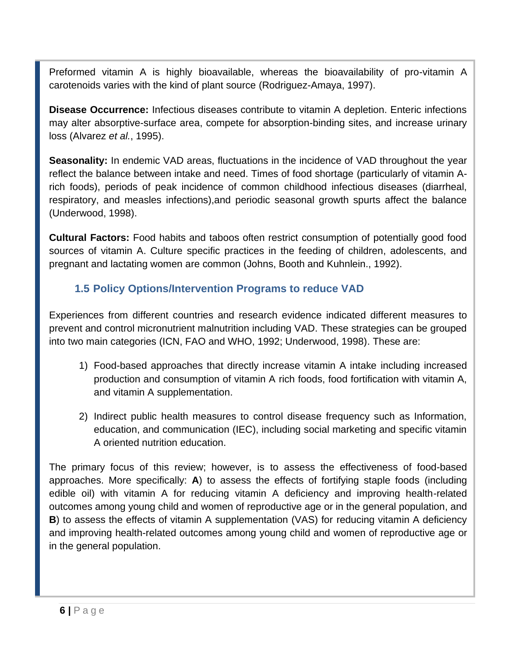Preformed vitamin A is highly bioavailable, whereas the bioavailability of pro-vitamin A carotenoids varies with the kind of plant source (Rodriguez-Amaya, 1997).

**Disease Occurrence:** Infectious diseases contribute to vitamin A depletion. Enteric infections may alter absorptive-surface area, compete for absorption-binding sites, and increase urinary loss (Alvarez *et al.*, 1995).

**Seasonality:** In endemic VAD areas, fluctuations in the incidence of VAD throughout the year reflect the balance between intake and need. Times of food shortage (particularly of vitamin Arich foods), periods of peak incidence of common childhood infectious diseases (diarrheal, respiratory, and measles infections),and periodic seasonal growth spurts affect the balance (Underwood, 1998).

**Cultural Factors:** Food habits and taboos often restrict consumption of potentially good food sources of vitamin A. Culture specific practices in the feeding of children, adolescents, and pregnant and lactating women are common (Johns, Booth and Kuhnlein., 1992).

## **1.5 Policy Options/Intervention Programs to reduce VAD**

Experiences from different countries and research evidence indicated different measures to prevent and control micronutrient malnutrition including VAD. These strategies can be grouped into two main categories (ICN, FAO and WHO, 1992; Underwood, 1998). These are:

- 1) Food-based approaches that directly increase vitamin A intake including increased production and consumption of vitamin A rich foods, food fortification with vitamin A, and vitamin A supplementation.
- 2) Indirect public health measures to control disease frequency such as Information, education, and communication (IEC), including social marketing and specific vitamin A oriented nutrition education.

The primary focus of this review; however, is to assess the effectiveness of food-based approaches. More specifically: **A**) to assess the effects of fortifying staple foods (including edible oil) with vitamin A for reducing vitamin A deficiency and improving health-related outcomes among young child and women of reproductive age or in the general population, and **B**) to assess the effects of vitamin A supplementation (VAS) for reducing vitamin A deficiency and improving health-related outcomes among young child and women of reproductive age or in the general population.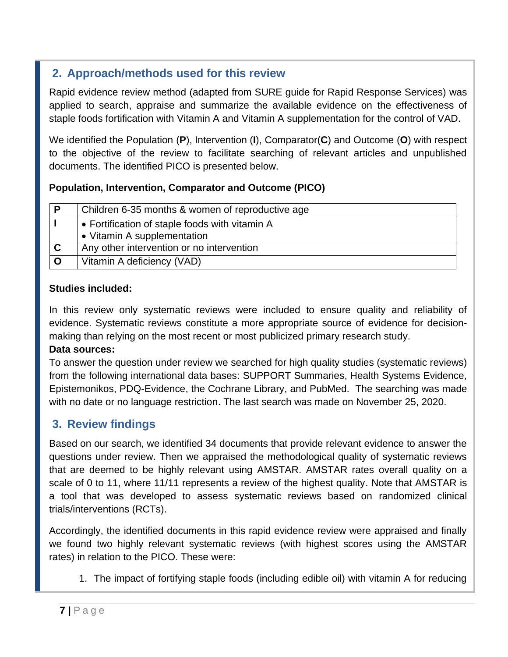## **2. Approach/methods used for this review**

Rapid evidence review method (adapted from SURE guide for Rapid Response Services) was applied to search, appraise and summarize the available evidence on the effectiveness of staple foods fortification with Vitamin A and Vitamin A supplementation for the control of VAD.

We identified the Population (**P**), Intervention (**I**), Comparator(**C**) and Outcome (**O**) with respect to the objective of the review to facilitate searching of relevant articles and unpublished documents. The identified PICO is presented below.

### **Population, Intervention, Comparator and Outcome (PICO)**

| Р | Children 6-35 months & women of reproductive age |  |  |  |  |
|---|--------------------------------------------------|--|--|--|--|
|   | • Fortification of staple foods with vitamin A   |  |  |  |  |
|   | • Vitamin A supplementation                      |  |  |  |  |
| C | Any other intervention or no intervention        |  |  |  |  |
|   | Vitamin A deficiency (VAD)                       |  |  |  |  |

### **Studies included:**

In this review only systematic reviews were included to ensure quality and reliability of evidence. Systematic reviews constitute a more appropriate source of evidence for decisionmaking than relying on the most recent or most publicized primary research study.

#### **Data sources:**

To answer the question under review we searched for high quality studies (systematic reviews) from the following international data bases: SUPPORT Summaries, Health Systems Evidence, Epistemonikos, PDQ-Evidence, the Cochrane Library, and PubMed. The searching was made with no date or no language restriction. The last search was made on November 25, 2020.

## **3. Review findings**

Based on our search, we identified 34 documents that provide relevant evidence to answer the questions under review. Then we appraised the methodological quality of systematic reviews that are deemed to be highly relevant using AMSTAR. AMSTAR rates overall quality on a scale of 0 to 11, where 11/11 represents a review of the highest quality. Note that AMSTAR is a tool that was developed to assess systematic reviews based on randomized clinical trials/interventions (RCTs).

Accordingly, the identified documents in this rapid evidence review were appraised and finally we found two highly relevant systematic reviews (with highest scores using the AMSTAR rates) in relation to the PICO. These were:

1. The impact of fortifying staple foods (including edible oil) with vitamin A for reducing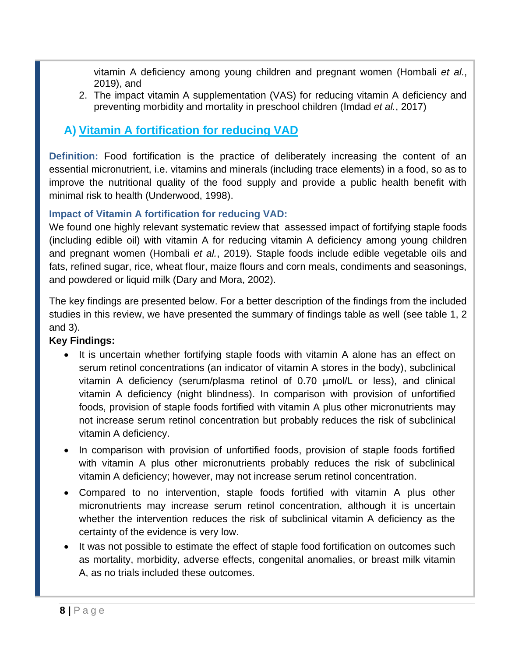vitamin A deficiency among young children and pregnant women (Hombali *et al.*, 2019), and

2. The impact vitamin A supplementation (VAS) for reducing vitamin A deficiency and preventing morbidity and mortality in preschool children (Imdad *et al.*, 2017)

## **A) Vitamin A fortification for reducing VAD**

**Definition:** Food fortification is the practice of deliberately increasing the content of an essential micronutrient, i.e. vitamins and minerals (including trace elements) in a food, so as to improve the nutritional quality of the food supply and provide a public health benefit with minimal risk to health (Underwood, 1998).

### **Impact of Vitamin A fortification for reducing VAD:**

We found one highly relevant systematic review that assessed impact of fortifying staple foods (including edible oil) with vitamin A for reducing vitamin A deficiency among young children and pregnant women (Hombali *et al.*, 2019). Staple foods include edible vegetable oils and fats, refined sugar, rice, wheat flour, maize flours and corn meals, condiments and seasonings, and powdered or liquid milk (Dary and Mora, 2002).

The key findings are presented below. For a better description of the findings from the included studies in this review, we have presented the summary of findings table as well (see table 1, 2 and 3).

### **Key Findings:**

- It is uncertain whether fortifying staple foods with vitamin A alone has an effect on serum retinol concentrations (an indicator of vitamin A stores in the body), subclinical vitamin A deficiency (serum/plasma retinol of 0.70 µmol/L or less), and clinical vitamin A deficiency (night blindness). In comparison with provision of unfortified foods, provision of staple foods fortified with vitamin A plus other micronutrients may not increase serum retinol concentration but probably reduces the risk of subclinical vitamin A deficiency.
- In comparison with provision of unfortified foods, provision of staple foods fortified with vitamin A plus other micronutrients probably reduces the risk of subclinical vitamin A deficiency; however, may not increase serum retinol concentration.
- Compared to no intervention, staple foods fortified with vitamin A plus other micronutrients may increase serum retinol concentration, although it is uncertain whether the intervention reduces the risk of subclinical vitamin A deficiency as the certainty of the evidence is very low.
- It was not possible to estimate the effect of staple food fortification on outcomes such as mortality, morbidity, adverse effects, congenital anomalies, or breast milk vitamin A, as no trials included these outcomes.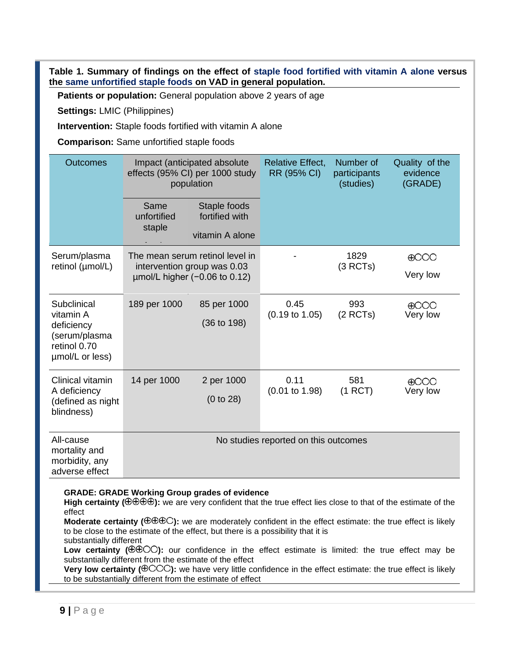**Table 1. Summary of findings on the effect of staple food fortified with vitamin A alone versus the same unfortified staple foods on VAD in general population.**

**Patients or population:** General population above 2 years of age

**Settings:** LMIC (Philippines)

**Intervention:** Staple foods fortified with vitamin A alone

**Comparison:** Same unfortified staple foods

| <b>Outcomes</b>                                                                            |                                      | Impact (anticipated absolute<br>effects (95% CI) per 1000 study<br>population                        | <b>Relative Effect,</b><br>RR (95% CI) | Number of<br>participants<br>(studies) | Quality of the<br>evidence<br>(GRADE) |
|--------------------------------------------------------------------------------------------|--------------------------------------|------------------------------------------------------------------------------------------------------|----------------------------------------|----------------------------------------|---------------------------------------|
|                                                                                            | Same<br>unfortified<br>staple        | Staple foods<br>fortified with<br>vitamin A alone                                                    |                                        |                                        |                                       |
| Serum/plasma<br>retinol (umol/L)                                                           |                                      | The mean serum retinol level in<br>intervention group was 0.03<br>$\mu$ mol/L higher (-0.06 to 0.12) |                                        | 1829<br>(3 RCTs)                       | $\bigoplus$ OO<br>Very low            |
| Subclinical<br>vitamin A<br>deficiency<br>(serum/plasma<br>retinol 0.70<br>umol/L or less) | 189 per 1000                         | 85 per 1000<br>$(36 \text{ to } 198)$                                                                | 0.45<br>$(0.19 \text{ to } 1.05)$      | 993<br>$(2$ RCTs)                      | $\bigoplus$<br>Very low               |
| Clinical vitamin<br>A deficiency<br>(defined as night<br>blindness)                        | 14 per 1000                          | 2 per 1000<br>(0 to 28)                                                                              | 0.11<br>$(0.01 \text{ to } 1.98)$      | 581<br>$(1$ RCT $)$                    | $\bigoplus$<br>Very low               |
| All-cause<br>mortality and<br>morbidity, any<br>adverse effect                             | No studies reported on this outcomes |                                                                                                      |                                        |                                        |                                       |

#### **GRADE: GRADE Working Group grades of evidence**

**High certainty (** $\theta \theta \theta \theta$ **):** we are very confident that the true effect lies close to that of the estimate of the effect

**Moderate certainty (** $\oplus \oplus \oplus \odot$ **):** we are moderately confident in the effect estimate: the true effect is likely to be close to the estimate of the effect, but there is a possibility that it is substantially different

Low certainty ( $\oplus$  $\oplus$ OO): our confidence in the effect estimate is limited: the true effect may be substantially different from the estimate of the effect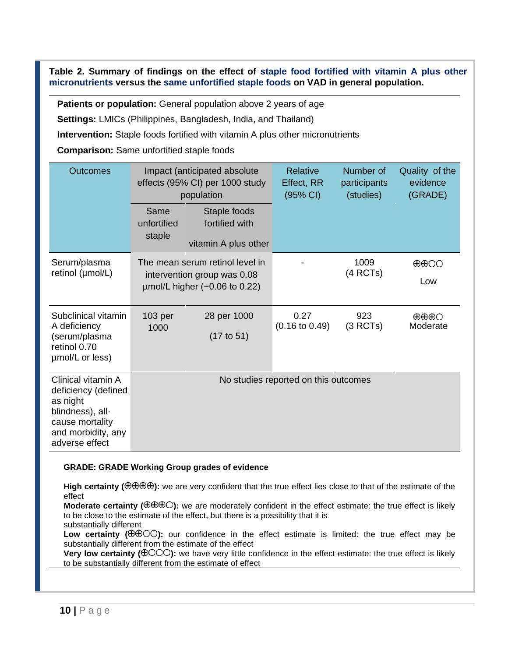**Table 2. Summary of findings on the effect of staple food fortified with vitamin A plus other micronutrients versus the same unfortified staple foods on VAD in general population.**

**Patients or population:** General population above 2 years of age

**Settings:** LMICs (Philippines, Bangladesh, India, and Thailand)

**Intervention:** Staple foods fortified with vitamin A plus other micronutrients

**Comparison:** Same unfortified staple foods

| Outcomes                                                                                                                             |                                      | Impact (anticipated absolute<br>effects (95% CI) per 1000 study<br>population                        | Relative<br>Effect, RR<br>$(95% \text{ Cl})$ | Number of<br>participants<br>(studies) | Quality of the<br>evidence<br>(GRADE)       |
|--------------------------------------------------------------------------------------------------------------------------------------|--------------------------------------|------------------------------------------------------------------------------------------------------|----------------------------------------------|----------------------------------------|---------------------------------------------|
|                                                                                                                                      | Same<br>unfortified<br>staple        | Staple foods<br>fortified with<br>vitamin A plus other                                               |                                              |                                        |                                             |
| Serum/plasma<br>retinol (µmol/L)                                                                                                     |                                      | The mean serum retinol level in<br>intervention group was 0.08<br>$\mu$ mol/L higher (-0.06 to 0.22) |                                              | 1009<br>(4 RCTs)                       | $\oplus$ OO<br>Low                          |
| Subclinical vitamin<br>A deficiency<br>(serum/plasma<br>retinol 0.70<br>umol/L or less)                                              | 103 per<br>1000                      | 28 per 1000<br>$(17 \text{ to } 51)$                                                                 | 0.27<br>$(0.16 \text{ to } 0.49)$            | 923<br>(3 RCTs)                        | $\oplus \oplus \oplus \bigcirc$<br>Moderate |
| Clinical vitamin A<br>deficiency (defined<br>as night<br>blindness), all-<br>cause mortality<br>and morbidity, any<br>adverse effect | No studies reported on this outcomes |                                                                                                      |                                              |                                        |                                             |

#### **GRADE: GRADE Working Group grades of evidence**

High certainty ( $\oplus$  $\oplus$  $\oplus$ ): we are very confident that the true effect lies close to that of the estimate of the effect

**Moderate certainty**  $(\oplus \oplus \oplus \odot)$ **:** we are moderately confident in the effect estimate: the true effect is likely to be close to the estimate of the effect, but there is a possibility that it is

substantially different

Low certainty ( $\oplus$  $\oplus$ OO): our confidence in the effect estimate is limited: the true effect may be substantially different from the estimate of the effect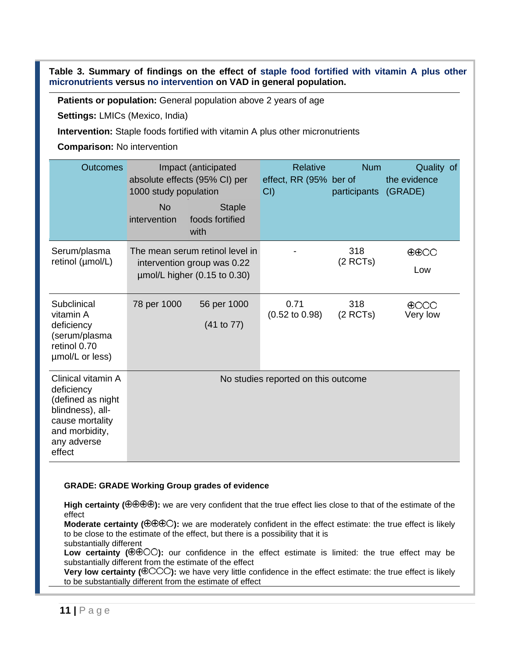**Table 3. Summary of findings on the effect of staple food fortified with vitamin A plus other micronutrients versus no intervention on VAD in general population.**

**Patients or population:** General population above 2 years of age

**Settings:** LMICs (Mexico, India)

**Intervention:** Staple foods fortified with vitamin A plus other micronutrients

**Comparison:** No intervention

| Outcomes                                                                                                                                | Impact (anticipated<br>absolute effects (95% CI) per<br>1000 study population |                                                                                                     | <b>Relative</b><br>effect, RR (95% ber of<br>CI() | <b>Num</b><br>participants | Quality of<br>the evidence<br>(GRADE) |  |
|-----------------------------------------------------------------------------------------------------------------------------------------|-------------------------------------------------------------------------------|-----------------------------------------------------------------------------------------------------|---------------------------------------------------|----------------------------|---------------------------------------|--|
|                                                                                                                                         | <b>No</b><br>intervention                                                     | <b>Staple</b><br>foods fortified<br>with                                                            |                                                   |                            |                                       |  |
| Serum/plasma<br>retinol (µmol/L)                                                                                                        |                                                                               | The mean serum retinol level in<br>intervention group was 0.22<br>$\mu$ mol/L higher (0.15 to 0.30) |                                                   | 318<br>(2 RCTs)            | $\oplus$ $\oplus$ OO<br>Low           |  |
| Subclinical<br>vitamin A<br>deficiency<br>(serum/plasma<br>retinol 0.70<br>umol/L or less)                                              | 78 per 1000                                                                   | 56 per 1000<br>(41 to 77)                                                                           | 0.71<br>$(0.52 \text{ to } 0.98)$                 | 318<br>$(2$ RCTs)          | $\bigoplus$ OOO<br>Very low           |  |
| Clinical vitamin A<br>deficiency<br>(defined as night<br>blindness), all-<br>cause mortality<br>and morbidity,<br>any adverse<br>effect | No studies reported on this outcome                                           |                                                                                                     |                                                   |                            |                                       |  |

#### **GRADE: GRADE Working Group grades of evidence**

High certainty ( $\oplus$  $\oplus$  $\oplus$ ): we are very confident that the true effect lies close to that of the estimate of the effect

**Moderate certainty (** $\oplus \oplus \oplus \odot$ **):** we are moderately confident in the effect estimate: the true effect is likely to be close to the estimate of the effect, but there is a possibility that it is substantially different

**Low certainty (** $\oplus \oplus \odot$ **);** our confidence in the effect estimate is limited: the true effect may be substantially different from the estimate of the effect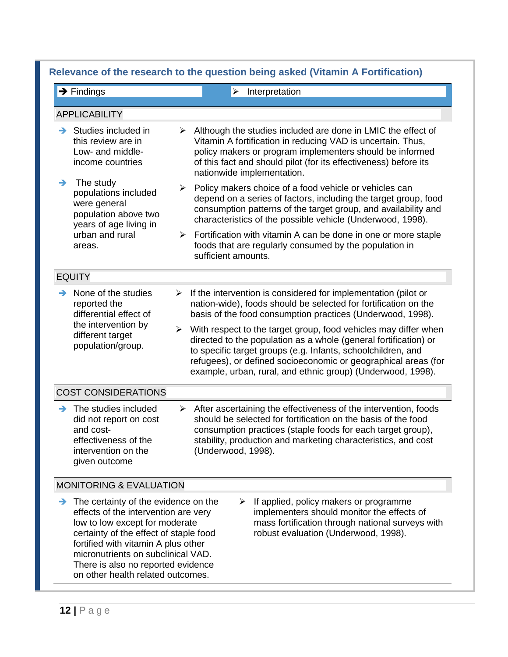|               | $\rightarrow$ Findings                                                                                                                                                                                                                                                                                           |        | Interpretation<br>$\triangleright$                                                                                                                                                                                                                                                                                                                                                                                                                                                                                                      |
|---------------|------------------------------------------------------------------------------------------------------------------------------------------------------------------------------------------------------------------------------------------------------------------------------------------------------------------|--------|-----------------------------------------------------------------------------------------------------------------------------------------------------------------------------------------------------------------------------------------------------------------------------------------------------------------------------------------------------------------------------------------------------------------------------------------------------------------------------------------------------------------------------------------|
|               | <b>APPLICABILITY</b>                                                                                                                                                                                                                                                                                             |        |                                                                                                                                                                                                                                                                                                                                                                                                                                                                                                                                         |
| →             | Studies included in<br>this review are in<br>Low- and middle-<br>income countries                                                                                                                                                                                                                                | ➤      | Although the studies included are done in LMIC the effect of<br>Vitamin A fortification in reducing VAD is uncertain. Thus,<br>policy makers or program implementers should be informed<br>of this fact and should pilot (for its effectiveness) before its<br>nationwide implementation.                                                                                                                                                                                                                                               |
| →             | The study<br>populations included<br>were general<br>population above two<br>years of age living in<br>urban and rural<br>areas.                                                                                                                                                                                 | ➤      | Policy makers choice of a food vehicle or vehicles can<br>depend on a series of factors, including the target group, food<br>consumption patterns of the target group, and availability and<br>characteristics of the possible vehicle (Underwood, 1998).                                                                                                                                                                                                                                                                               |
|               |                                                                                                                                                                                                                                                                                                                  | ⋗      | Fortification with vitamin A can be done in one or more staple<br>foods that are regularly consumed by the population in<br>sufficient amounts.                                                                                                                                                                                                                                                                                                                                                                                         |
|               | <b>EQUITY</b>                                                                                                                                                                                                                                                                                                    |        |                                                                                                                                                                                                                                                                                                                                                                                                                                                                                                                                         |
| →             | None of the studies<br>reported the<br>differential effect of<br>the intervention by<br>different target<br>population/group.                                                                                                                                                                                    | ➤<br>≻ | If the intervention is considered for implementation (pilot or<br>nation-wide), foods should be selected for fortification on the<br>basis of the food consumption practices (Underwood, 1998).<br>With respect to the target group, food vehicles may differ when<br>directed to the population as a whole (general fortification) or<br>to specific target groups (e.g. Infants, schoolchildren, and<br>refugees), or defined socioeconomic or geographical areas (for<br>example, urban, rural, and ethnic group) (Underwood, 1998). |
|               | <b>COST CONSIDERATIONS</b>                                                                                                                                                                                                                                                                                       |        |                                                                                                                                                                                                                                                                                                                                                                                                                                                                                                                                         |
| $\rightarrow$ | The studies included<br>did not report on cost<br>and cost-<br>effectiveness of the<br>intervention on the<br>given outcome                                                                                                                                                                                      | ➤      | After ascertaining the effectiveness of the intervention, foods<br>should be selected for fortification on the basis of the food<br>consumption practices (staple foods for each target group),<br>stability, production and marketing characteristics, and cost<br>(Underwood, 1998).                                                                                                                                                                                                                                                  |
|               | <b>MONITORING &amp; EVALUATION</b>                                                                                                                                                                                                                                                                               |        |                                                                                                                                                                                                                                                                                                                                                                                                                                                                                                                                         |
| →             | The certainty of the evidence on the<br>effects of the intervention are very<br>low to low except for moderate<br>certainty of the effect of staple food<br>fortified with vitamin A plus other<br>micronutrients on subclinical VAD.<br>There is also no reported evidence<br>on other health related outcomes. |        | If applied, policy makers or programme<br>➤<br>implementers should monitor the effects of<br>mass fortification through national surveys with<br>robust evaluation (Underwood, 1998).                                                                                                                                                                                                                                                                                                                                                   |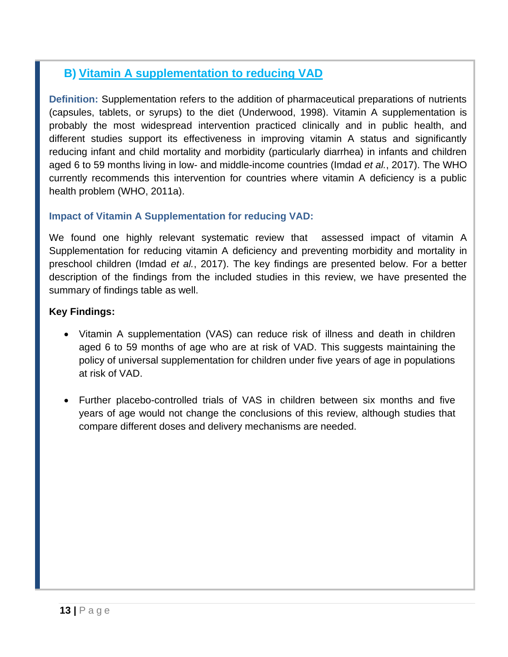## **B) Vitamin A supplementation to reducing VAD**

**Definition:** Supplementation refers to the addition of pharmaceutical preparations of nutrients (capsules, tablets, or syrups) to the diet (Underwood, 1998). Vitamin A supplementation is probably the most widespread intervention practiced clinically and in public health, and different studies support its effectiveness in improving vitamin A status and significantly reducing infant and child mortality and morbidity (particularly diarrhea) in infants and children aged 6 to 59 months living in low- and middle-income countries (Imdad *et al.*, 2017). The WHO currently recommends this intervention for countries where vitamin A deficiency is a public health problem (WHO, 2011a).

### **Impact of Vitamin A Supplementation for reducing VAD:**

We found one highly relevant systematic review that assessed impact of vitamin A Supplementation for reducing vitamin A deficiency and preventing morbidity and mortality in preschool children (Imdad *et al.*, 2017). The key findings are presented below. For a better description of the findings from the included studies in this review, we have presented the summary of findings table as well.

### **Key Findings:**

- Vitamin A supplementation (VAS) can reduce risk of illness and death in children aged 6 to 59 months of age who are at risk of VAD. This suggests maintaining the policy of universal supplementation for children under five years of age in populations at risk of VAD.
- Further placebo-controlled trials of VAS in children between six months and five years of age would not change the conclusions of this review, although studies that compare different doses and delivery mechanisms are needed.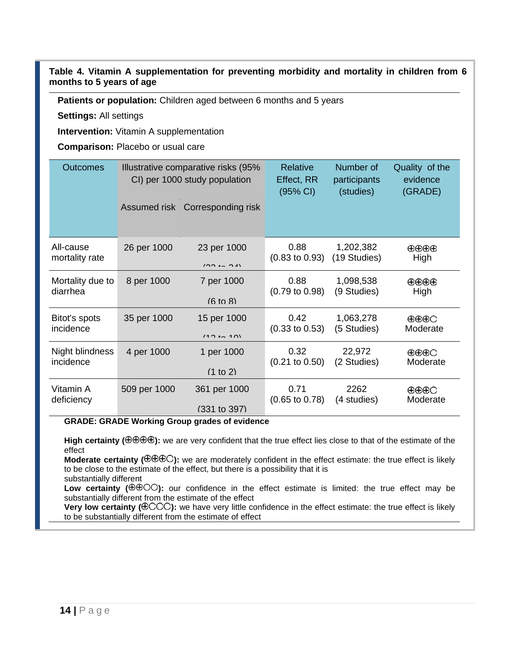#### **Table 4. Vitamin A supplementation for preventing morbidity and mortality in children from 6 months to 5 years of age**

**Patients or population:** Children aged between 6 months and 5 years

**Settings:** All settings

**Intervention:** Vitamin A supplementation

**Comparison:** Placebo or usual care

| <b>Outcomes</b>  |              | Illustrative comparative risks (95%<br>CI) per 1000 study population | Relative<br>Effect, RR<br>(95% CI) | Number of<br>participants<br>(studies) | Quality of the<br>evidence<br>(GRADE) |
|------------------|--------------|----------------------------------------------------------------------|------------------------------------|----------------------------------------|---------------------------------------|
|                  | Assumed risk | Corresponding risk                                                   |                                    |                                        |                                       |
| All-cause        | 26 per 1000  | 23 per 1000                                                          | 0.88                               | 1,202,382                              | $\oplus \oplus \oplus$                |
| mortality rate   |              | $(00 + 0)$                                                           | $(0.83 \text{ to } 0.93)$          | (19 Studies)                           | High                                  |
| Mortality due to | 8 per 1000   | 7 per 1000                                                           | 0.88                               | 1,098,538                              | $\oplus \oplus \oplus$                |
| diarrhea         |              | $(6 \text{ to } 8)$                                                  | $(0.79 \text{ to } 0.98)$          | (9 Studies)                            | High                                  |
| Bitot's spots    | 35 per 1000  | 15 per 1000                                                          | 0.42                               | 1,063,278                              | $\oplus \oplus \oplus \bigcirc$       |
| incidence        |              | $(40 + 40)$                                                          | $(0.33 \text{ to } 0.53)$          | (5 Studies)                            | Moderate                              |
| Night blindness  | 4 per 1000   | 1 per 1000                                                           | 0.32                               | 22,972                                 | $\oplus \oplus \oplus \bigcirc$       |
| incidence        |              | (1 to 2)                                                             | $(0.21 \text{ to } 0.50)$          | (2 Studies)                            | Moderate                              |
| Vitamin A        | 509 per 1000 | 361 per 1000                                                         | 0.71                               | 2262                                   | $\oplus \oplus \oplus \bigcirc$       |
| deficiency       |              | (331 to 397)                                                         | $(0.65 \text{ to } 0.78)$          | (4 studies)                            | Moderate                              |

**GRADE: GRADE Working Group grades of evidence** 

High certainty ( $\Theta$  $\Theta$  $\Theta$ ): we are very confident that the true effect lies close to that of the estimate of the effect

**Moderate certainty ( ):** we are moderately confident in the effect estimate: the true effect is likely to be close to the estimate of the effect, but there is a possibility that it is substantially different

Low certainty ( $\oplus$  $\oplus$ OO): our confidence in the effect estimate is limited: the true effect may be substantially different from the estimate of the effect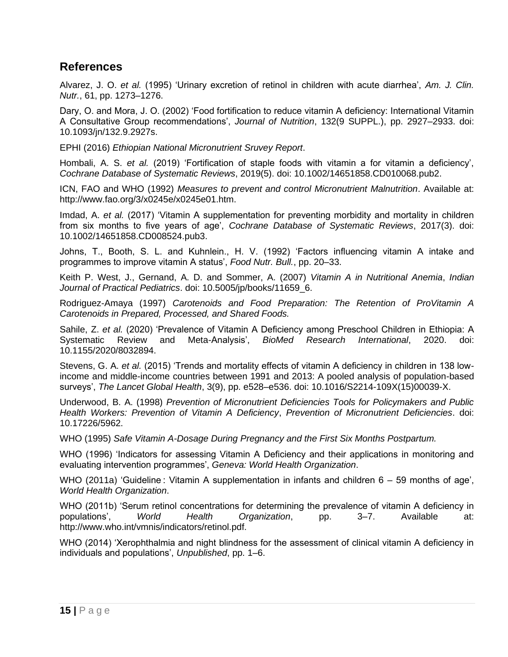## **References**

Alvarez, J. O. *et al.* (1995) 'Urinary excretion of retinol in children with acute diarrhea', *Am. J. Clin. Nutr.*, 61, pp. 1273–1276.

Dary, O. and Mora, J. O. (2002) 'Food fortification to reduce vitamin A deficiency: International Vitamin A Consultative Group recommendations', *Journal of Nutrition*, 132(9 SUPPL.), pp. 2927–2933. doi: 10.1093/jn/132.9.2927s.

EPHI (2016) *Ethiopian National Micronutrient Sruvey Report*.

Hombali, A. S. *et al.* (2019) 'Fortification of staple foods with vitamin a for vitamin a deficiency', *Cochrane Database of Systematic Reviews*, 2019(5). doi: 10.1002/14651858.CD010068.pub2.

ICN, FAO and WHO (1992) *Measures to prevent and control Micronutrient Malnutrition*. Available at: http://www.fao.org/3/x0245e/x0245e01.htm.

Imdad, A. *et al.* (2017) 'Vitamin A supplementation for preventing morbidity and mortality in children from six months to five years of age', *Cochrane Database of Systematic Reviews*, 2017(3). doi: 10.1002/14651858.CD008524.pub3.

Johns, T., Booth, S. L. and Kuhnlein., H. V. (1992) 'Factors influencing vitamin A intake and programmes to improve vitamin A status', *Food Nutr. Bull.*, pp. 20–33.

Keith P. West, J., Gernand, A. D. and Sommer, A. (2007) *Vitamin A in Nutritional Anemia*, *Indian Journal of Practical Pediatrics*. doi: 10.5005/jp/books/11659\_6.

Rodriguez-Amaya (1997) *Carotenoids and Food Preparation: The Retention of ProVitamin A Carotenoids in Prepared, Processed, and Shared Foods.*

Sahile, Z. *et al.* (2020) 'Prevalence of Vitamin A Deficiency among Preschool Children in Ethiopia: A Systematic Review and Meta-Analysis', *BioMed Research International*, 2020. doi: 10.1155/2020/8032894.

Stevens, G. A. *et al.* (2015) 'Trends and mortality effects of vitamin A deficiency in children in 138 lowincome and middle-income countries between 1991 and 2013: A pooled analysis of population-based surveys', *The Lancet Global Health*, 3(9), pp. e528–e536. doi: 10.1016/S2214-109X(15)00039-X.

Underwood, B. A. (1998) *Prevention of Micronutrient Deficiencies Tools for Policymakers and Public Health Workers: Prevention of Vitamin A Deficiency*, *Prevention of Micronutrient Deficiencies*. doi: 10.17226/5962.

WHO (1995) *Safe Vitamin A-Dosage During Pregnancy and the First Six Months Postpartum.*

WHO (1996) 'Indicators for assessing Vitamin A Deficiency and their applications in monitoring and evaluating intervention programmes', *Geneva: World Health Organization*.

WHO (2011a) 'Guideline : Vitamin A supplementation in infants and children 6 – 59 months of age', *World Health Organization*.

WHO (2011b) 'Serum retinol concentrations for determining the prevalence of vitamin A deficiency in populations', *World Health Organization*, pp. 3–7. Available at: http://www.who.int/vmnis/indicators/retinol.pdf.

WHO (2014) 'Xerophthalmia and night blindness for the assessment of clinical vitamin A deficiency in individuals and populations', *Unpublished*, pp. 1–6.